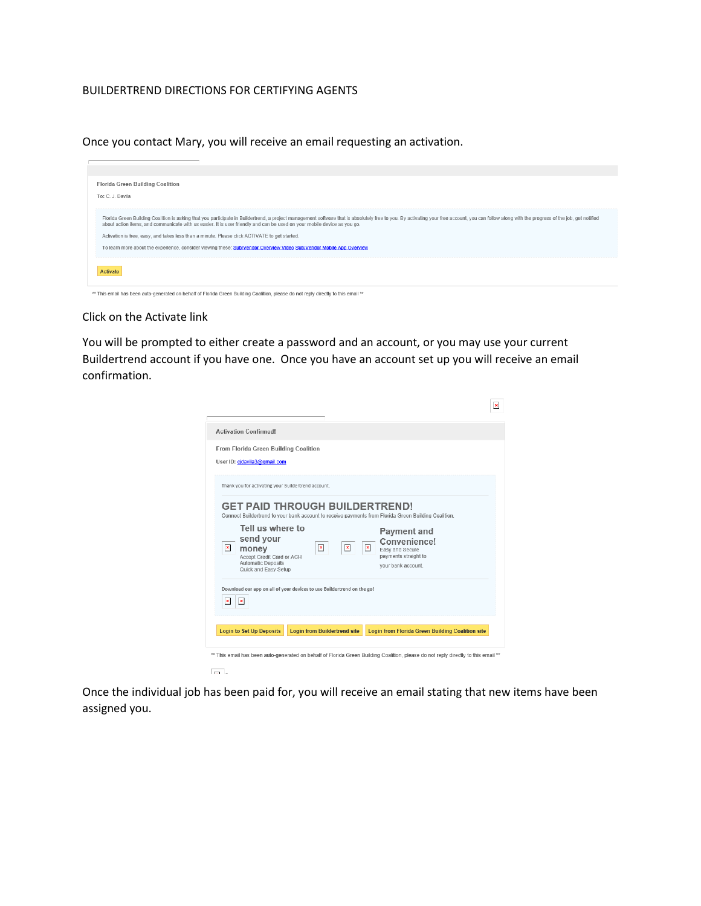## BUILDERTREND DIRECTIONS FOR CERTIFYING AGENTS

Once you contact Mary, you will receive an email requesting an activation.



\*\* This email has been auto-generated on behalf of Florida Green Building Coalition, please do not reply directly to this email \*\*

## Click on the Activate link

You will be prompted to either create a password and an account, or you may use your current Buildertrend account if you have one. Once you have an account set up you will receive an email confirmation.

| From Florida Green Building Coalition               |                                                                        |                                                                                                      |
|-----------------------------------------------------|------------------------------------------------------------------------|------------------------------------------------------------------------------------------------------|
| User ID: cjdavila3@gmail.com                        |                                                                        |                                                                                                      |
| Thank you for activating your Buildertrend account. |                                                                        |                                                                                                      |
|                                                     | <b>GET PAID THROUGH BUILDERTREND!</b>                                  |                                                                                                      |
|                                                     |                                                                        | Connect Buildertrend to your bank account to receive payments from Florida Green Building Coalition. |
| Tell us where to                                    |                                                                        | <b>Payment and</b>                                                                                   |
| send your<br>$\mathbf{x}$                           | $\mathbf{X}$<br>$\pmb{\times}$                                         | Convenience!<br>$\pmb{\times}$                                                                       |
| money<br>Accept Credit Card or ACH                  |                                                                        | Easy and Secure<br>payments straight to                                                              |
| <b>Automatic Deposits</b><br>Quick and Easy Setup   |                                                                        | your bank account.                                                                                   |
|                                                     |                                                                        |                                                                                                      |
|                                                     | Download our app on all of your devices to use Buildertrend on the go! |                                                                                                      |
|                                                     |                                                                        |                                                                                                      |
| $\pmb{\times}$<br>$\mathbf{x}$                      |                                                                        |                                                                                                      |
| <b>Login to Set Up Deposits</b>                     | <b>Loain from Buildertrend site</b>                                    | <b>Login from Florida Green Building Coalition site</b>                                              |

Once the individual job has been paid for, you will receive an email stating that new items have been assigned you.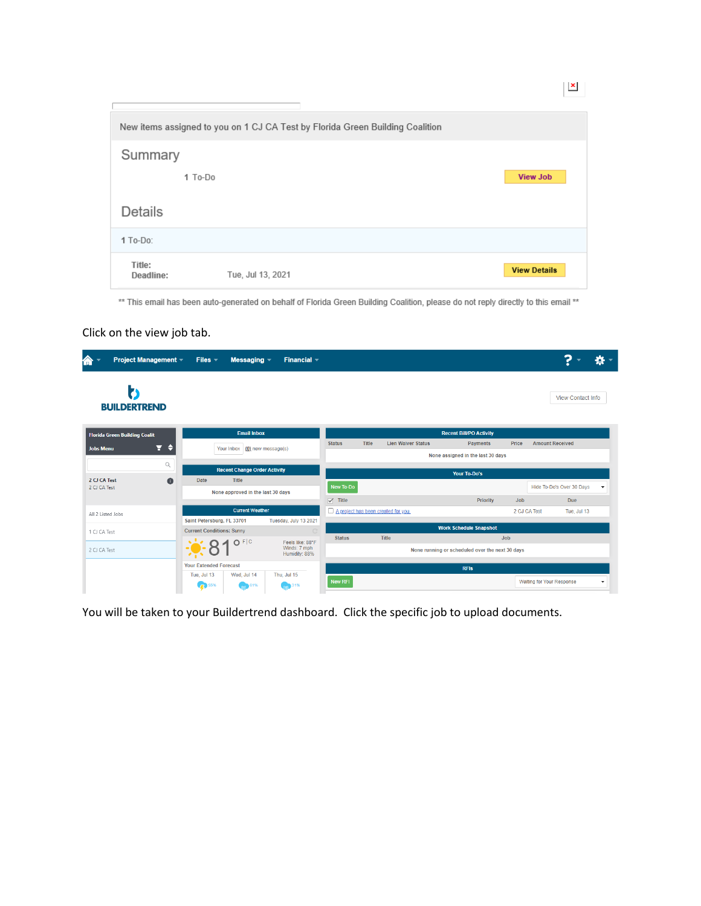|                     | New items assigned to you on 1 CJ CA Test by Florida Green Building Coalition |                     |
|---------------------|-------------------------------------------------------------------------------|---------------------|
| Summary             |                                                                               |                     |
| 1 To-Do             |                                                                               | <b>View Job</b>     |
| Details             |                                                                               |                     |
| $1$ To-Do:          |                                                                               |                     |
| Title:<br>Deadline: | Tue, Jul 13, 2021                                                             | <b>View Details</b> |

 $\mathbf{X}$ 

\*\* This email has been auto-generated on behalf of Florida Green Building Coalition, please do not reply directly to this email \*\*

## Click on the view job tab.

| <b>Project Management -</b><br>伶          | Files $=$                        | Messaging $-$                       | Financial $\sim$      |                                                 |       |                                     |                                   |            | ?                                |                          |
|-------------------------------------------|----------------------------------|-------------------------------------|-----------------------|-------------------------------------------------|-------|-------------------------------------|-----------------------------------|------------|----------------------------------|--------------------------|
| Þ۱<br><b>BUILDERTREND</b>                 |                                  |                                     |                       |                                                 |       |                                     |                                   |            | <b>View Contact Info</b>         |                          |
| <b>Florida Green Building Coalit</b>      |                                  | <b>Email Inbox</b>                  |                       |                                                 |       |                                     | <b>Recent Bill/PO Activity</b>    |            |                                  |                          |
| ⋳<br>٠<br><b>Jobs Menu</b>                |                                  | Your Inbox (0) new message(s)       |                       | <b>Status</b>                                   | Title | <b>Lien Waiver Status</b>           | <b>Payments</b>                   | Price      | <b>Amount Received</b>           |                          |
|                                           |                                  |                                     |                       |                                                 |       |                                     | None assigned in the last 30 days |            |                                  |                          |
| Q                                         |                                  | <b>Recent Change Order Activity</b> |                       |                                                 |       |                                     | <b>Your To-Do's</b>               |            |                                  |                          |
| 2 CJ CA Test<br>$\bullet$<br>2 CJ CA Test | Date                             | Title                               |                       | New To-Do                                       |       |                                     |                                   |            | Hide To-Do's Over 30 Days        | $\overline{\phantom{a}}$ |
|                                           |                                  | None approved in the last 30 days   |                       | $\sqrt{}$ Title                                 |       |                                     |                                   | <b>Job</b> | <b>Due</b>                       |                          |
|                                           |                                  | <b>Current Weather</b>              |                       |                                                 |       | A project has been created for you. | <b>Priority</b>                   |            | 2 CJ CA Test<br>Tue, Jul 13      |                          |
| All 2 Listed Jobs                         | Saint Petersburg, FL 33701       |                                     | Tuesday, July 13 2021 |                                                 |       |                                     |                                   |            |                                  |                          |
| 1 CJ CA Test                              | <b>Current Conditions: Sunny</b> |                                     |                       |                                                 |       |                                     | <b>Work Schedule Snapshot</b>     |            |                                  |                          |
|                                           |                                  | O F C                               | Feels like: 88°F      | <b>Status</b>                                   |       | Title                               |                                   | <b>Job</b> |                                  |                          |
| 2 CJ CA Test                              |                                  | Winds: 7 mph<br>Humidity: 88%       |                       | None running or scheduled over the next 30 days |       |                                     |                                   |            |                                  |                          |
|                                           | <b>Your Extended Forecast</b>    |                                     |                       |                                                 |       |                                     | <b>RFIs</b>                       |            |                                  |                          |
|                                           | Tue, Jul 13                      | Wed, Jul 14                         | Thu, Jul 15           | New RFI                                         |       |                                     |                                   |            | <b>Waiting for Your Response</b> | ۰                        |
|                                           | 55%                              | 61%                                 | 31%<br>m              |                                                 |       |                                     |                                   |            |                                  |                          |

You will be taken to your Buildertrend dashboard. Click the specific job to upload documents.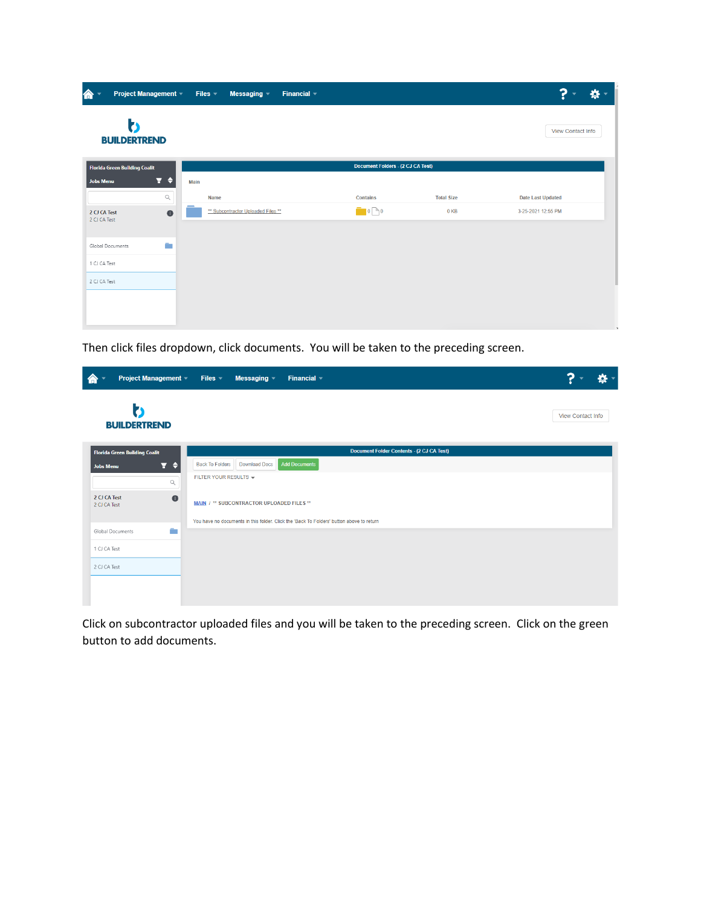| 合                                    | <b>Project Management ▼</b>             | Files $\leq$<br>Messaging $\blacktriangledown$<br>Financial $\sim$ |                                          |                   | ?<br>₩                   |
|--------------------------------------|-----------------------------------------|--------------------------------------------------------------------|------------------------------------------|-------------------|--------------------------|
| ゎ<br><b>BUILDERTREND</b>             |                                         |                                                                    |                                          |                   | View Contact Info        |
| <b>Florida Green Building Coalit</b> |                                         |                                                                    | <b>Document Folders - (2 CJ CA Test)</b> |                   |                          |
| <b>Jobs Menu</b>                     | Ŧ.<br>€                                 | Main                                                               |                                          |                   |                          |
|                                      | $\hbox{\ensuremath{\mathsf{Q}}\xspace}$ | Name                                                               | <b>Contains</b>                          | <b>Total Size</b> | <b>Date Last Updated</b> |
| 2 CJ CA Test<br>2 CJ CA Test         | $\bullet$                               | ** Subcontractor Uploaded Files **                                 | $\Box$ 0 $\Box$ 0                        | 0 KB              | 3-25-2021 12:55 PM       |
| Global Documents                     | a.                                      |                                                                    |                                          |                   |                          |
| 1 CJ CA Test                         |                                         |                                                                    |                                          |                   |                          |
| 2 CJ CA Test                         |                                         |                                                                    |                                          |                   |                          |
|                                      |                                         |                                                                    |                                          |                   |                          |
|                                      |                                         |                                                                    |                                          |                   |                          |
|                                      |                                         |                                                                    |                                          |                   |                          |

Then click files dropdown, click documents. You will be taken to the preceding screen.

| <b>Project Management -</b><br>K                  | Files $\sqrt{ }$<br>Financial $\sim$<br>Messaging $\sim$                                 |                          |
|---------------------------------------------------|------------------------------------------------------------------------------------------|--------------------------|
| h<br><b>BUILDERTREND</b>                          |                                                                                          | <b>View Contact Info</b> |
| <b>Florida Green Building Coalit</b>              | <b>Document Folder Contents - (2 CJ CA Test)</b>                                         |                          |
| $\overline{r}$ $\overline{r}$<br><b>Jobs Menu</b> | <b>Add Documents</b><br><b>Back To Folders</b><br><b>Download Docs</b>                   |                          |
| $\hbox{\footnotesize $Q$}$                        | FILTER YOUR RESULTS -                                                                    |                          |
| 2 CJ CA Test<br>2 CJ CA Test                      | $\bullet$<br>MAIN / ** SUBCONTRACTOR UPLOADED FILES **                                   |                          |
|                                                   | You have no documents in this folder. Click the 'Back To Folders' button above to return |                          |
| Global Documents                                  | a.                                                                                       |                          |
| 1 CJ CA Test                                      |                                                                                          |                          |
| 2 CJ CA Test                                      |                                                                                          |                          |
|                                                   |                                                                                          |                          |
|                                                   |                                                                                          |                          |

Click on subcontractor uploaded files and you will be taken to the preceding screen. Click on the green button to add documents.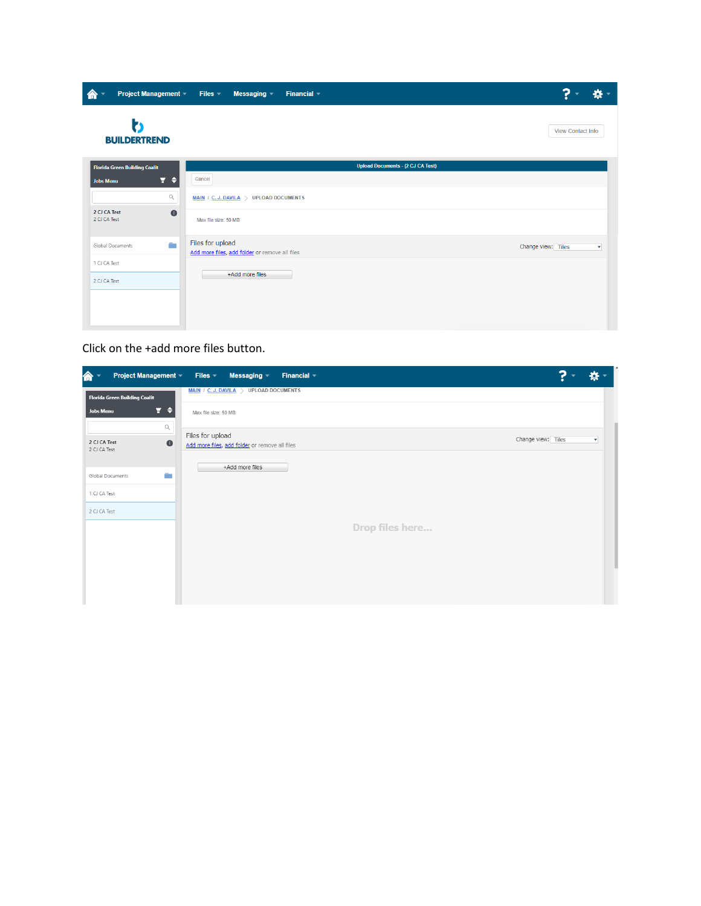| Project Management ▼ Files ▼              | Messaging $\sim$<br>Financial $\sim$                               |                                               |
|-------------------------------------------|--------------------------------------------------------------------|-----------------------------------------------|
| Þ۱<br><b>BUILDERTREND</b>                 |                                                                    | View Contact Info                             |
| <b>Florida Green Building Coalit</b>      | <b>Upload Documents - (2 CJ CA Test)</b>                           |                                               |
| Y ≑<br><b>Jobs Menu</b>                   | Cancel                                                             |                                               |
| $\hbox{\large\it Q}$                      | MAIN / C. J. DAVILA > UPLOAD DOCUMENTS                             |                                               |
| 2 CJ CA Test<br>$\bullet$<br>2 CJ CA Test | Max file size: 50 MB                                               |                                               |
| ÷<br>Global Documents                     | Files for upload<br>Add more files, add folder or remove all files | Change view: Tiles<br>$\overline{\mathbf{v}}$ |
| 1 CJ CA Test                              | +Add more files                                                    |                                               |
| 2 CJ CA Test                              |                                                                    |                                               |
|                                           |                                                                    |                                               |
|                                           |                                                                    |                                               |

## Click on the +add more files button.

| 侖<br>Project Management ~                                                            | Files $\sqrt{ }$<br>Messaging $\sim$<br>Financial $\sim$           | ?                  |   |
|--------------------------------------------------------------------------------------|--------------------------------------------------------------------|--------------------|---|
| Florida Green Building Coalit                                                        | <b>MAIN / C. J. DAVILA</b> > UPLOAD DOCUMENTS                      |                    |   |
| Y ≑<br><b>Jobs Menu</b>                                                              | Max file size: 50 MB                                               |                    |   |
| $\hbox{\ensuremath{\mathsf{Q}}\xspace}$<br>2 CJ CA Test<br>$\bullet$<br>2 CJ CA Test | Files for upload<br>Add more files, add folder or remove all files | Change view: Tiles | ٠ |
| ÷<br>Global Documents                                                                | +Add more files                                                    |                    |   |
| 1 CJ CA Test                                                                         |                                                                    |                    |   |
| 2 CJ CA Test                                                                         | Drop files here                                                    |                    |   |
|                                                                                      |                                                                    |                    |   |
|                                                                                      |                                                                    |                    |   |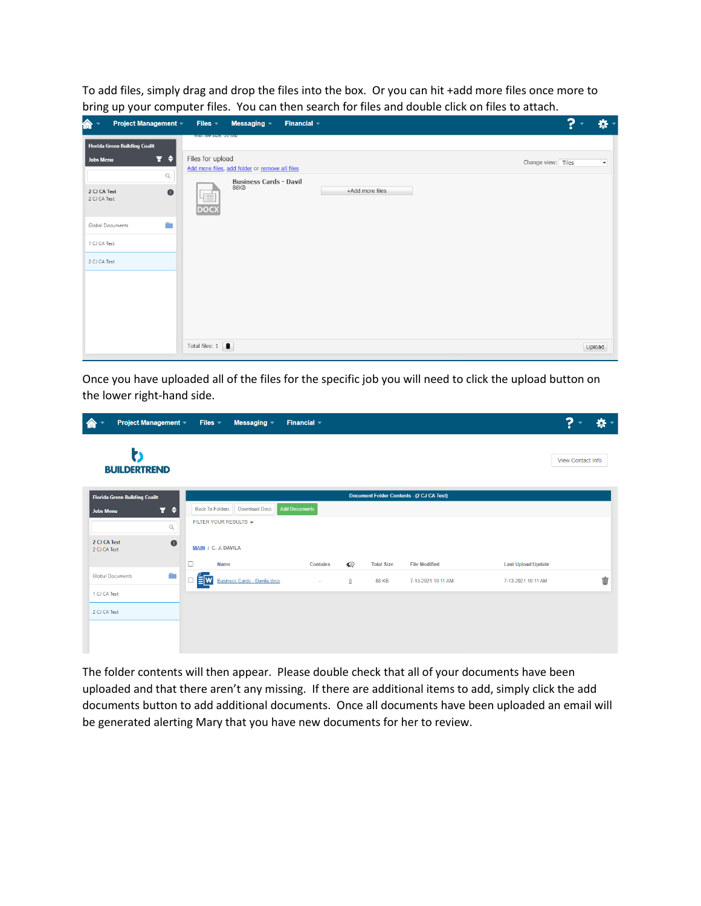To add files, simply drag and drop the files into the box. Or you can hit +add more files once more to bring up your computer files. You can then search for files and double click on files to attach.

| $\hat{\mathbf{n}}$<br>Project Management ~                                    | Financial $\sim$<br>Files $x$<br>Messaging $\sim$                       | $\mathbf{P}$       | *                       |  |
|-------------------------------------------------------------------------------|-------------------------------------------------------------------------|--------------------|-------------------------|--|
| Florida Green Building Coalit                                                 | <b>WICK THE SIZE. OU IVID</b>                                           |                    |                         |  |
| $\overline{r}$ $\overline{r}$<br>Jobs Menu                                    | Files for upload<br>Add more files, add folder or remove all files      | Change view: Tiles | $\overline{\mathbf{v}}$ |  |
| $\hbox{\ensuremath{\mathsf{Q}}}$<br>$\bullet$<br>2 CJ CA Test<br>2 CJ CA Test | <b>Business Cards - Davil</b><br>88KB<br>+Add more files<br><b>DOCX</b> |                    |                         |  |
| ÷.<br>Global Documents                                                        |                                                                         |                    |                         |  |
| 1 CJ CA Test                                                                  |                                                                         |                    |                         |  |
| 2 CJ CA Test                                                                  |                                                                         |                    |                         |  |
|                                                                               | Total files: $1 \quad \blacksquare$                                     |                    | Upload                  |  |

Once you have uploaded all of the files for the specific job you will need to click the upload button on the lower right-hand side.

| 合<br>Project Management -                                                        | Files $=$<br>Messaging $\sqrt{ }$                                       | Financial $\sim$     |              |                   |                                                  |                           | ?                 | *                             |
|----------------------------------------------------------------------------------|-------------------------------------------------------------------------|----------------------|--------------|-------------------|--------------------------------------------------|---------------------------|-------------------|-------------------------------|
| Z<br><b>BUILDERTREND</b>                                                         |                                                                         |                      |              |                   |                                                  |                           | View Contact Info |                               |
| <b>Florida Green Building Coalit</b><br>Y ÷<br>Jobs Menu<br>$\hbox{\large\it Q}$ | <b>Back To Folders</b><br><b>Download Docs</b><br>FILTER YOUR RESULTS - | <b>Add Documents</b> |              |                   | <b>Document Folder Contents - (2 CJ CA Test)</b> |                           |                   |                               |
| 2 CJ CA Test<br>$\bullet$<br>2 CJ CA Test                                        | MAIN / C. J. DAVILA<br>$\Box$<br><b>Name</b>                            | <b>Contains</b>      | $\bullet$    | <b>Total Size</b> | <b>File Modified</b>                             | <b>Last Upload/Update</b> |                   |                               |
| m.<br>Global Documents                                                           | $\equiv$ w<br><b>Business Cards - Davila.docx</b><br>□                  | ×.                   | $\mathbf{0}$ | <b>88 KB</b>      | 7-13-2021 10:11 AM                               | 7-13-2021 10:11 AM        |                   | $\dot{\overline{\mathbb{U}}}$ |
| 1 CJ CA Test<br>2 CJ CA Test                                                     |                                                                         |                      |              |                   |                                                  |                           |                   |                               |

The folder contents will then appear. Please double check that all of your documents have been uploaded and that there aren't any missing. If there are additional items to add, simply click the add documents button to add additional documents. Once all documents have been uploaded an email will be generated alerting Mary that you have new documents for her to review.